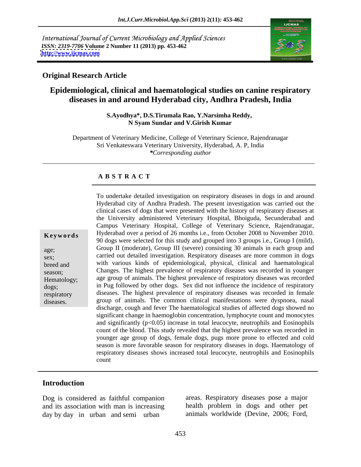International Journal of Current Microbiology and Applied Sciences *ISSN: 2319-7706* **Volume 2 Number 11 (2013) pp. 453-462 <http://www.ijcmas.com>**



# **Original Research Article**

# **Epidemiological, clinical and haematological studies on canine respiratory diseases in and around Hyderabad city, Andhra Pradesh, India**

**S.Ayodhya\*, D.S.Tirumala Rao, Y.Narsimha Reddy, N Syam Sundar and V.Girish Kumar**

Department of Veterinary Medicine, College of Veterinary Science, Rajendranagar Sri Venkateswara Veterinary University, Hyderabad, A. P, India *\*Corresponding author*

#### **A B S T R A C T**

**Keywords** Hyderabad over a period of 26 months i.e., from October 2008 to November 2010. age; Group II (moderate), Group III (severe) consisting 30 animals in each group and sex; carried out detailed investigation. Respiratory diseases are more common in dogs breed and with various kinds of epidemiological, physical, clinical and haematological season; Changes. The highest prevalence of respiratory diseases was recorded in younger Hematology; age group of animals. The highest prevalence of respiratory diseases was recorded dogs; in Pug followed by other dogs. Sex did not influence the incidence of respiratory respiratory diseases. The highest prevalence of respiratory diseases was recorded in female To undertake detailed investigation on respiratory diseases in dogs in and around<br>
Hyderabad city of Andhra Pradesh. The present investigation was carried out the<br>
clinical cases of dogs that were presented with the histor Hyderabad city of Andhra Pradesh. The present investigation was carried out the clinical cases of dogs that were presented with the history of respiratory diseases at the University administered Veterinary Hospital, Bhoiguda, Secunderabad and Campus Veterinary Hospital, College of Veterinary Science, Rajendranagar, 90 dogs were selected for this study and grouped into 3 groups i.e., Group I (mild), group of animals. The common clinical manifestations were dyspnoea, nasal discharge, cough and fever The haematological studies of affected dogs showed no significant change in haemoglobin concentration, lymphocyte count and monocytes and significantly  $(p<0.05)$  increase in total leucocyte, neutrophils and Eosinophils count of the blood. This study revealed that the highest prevalence was recorded in younger age group of dogs, female dogs, pugs more prone to effected and cold season is more favorable season for respiratory diseases in dogs. Haematology of respiratory diseases shows increased total leucocyte, neutrophils and Eosinophils count

## **Introduction**

Dog is considered as faithful companion and its association with man is increasing day by day in urban and semi urban

areas. Respiratory diseases pose a major health problem in dogs and other pet animals worldwide (Devine, 2006; Ford,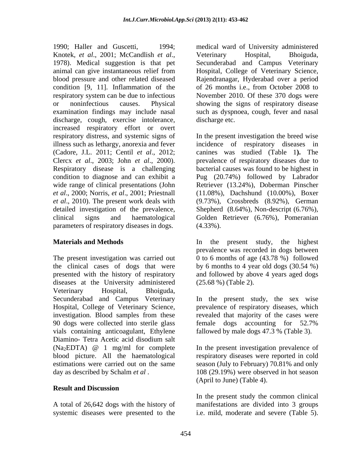1990; Haller and Guscetti, 1994; medical ward of University administered Knotek, *et al.*, 2001; McCandlish *et al.*, Veterinary Hospital, Bhoiguda, 1978). Medical suggestion is that pet Secunderabad and Campus Veterinary animal can give instantaneous relief from Hospital, College of Veterinary Science, blood pressure and other related diseased Rajendranagar, Hyderabad over a period condition [9, 11]. Inflammation of the respiratory system can be due to infectious November 2010. Of these 370 dogs were or noninfectious causes. Physical showing the signs of respiratory disease examination findings may include nasal such as dyspnoea, cough, feverand nasal discharge, cough, exercise intolerance, increased respiratory effort or overt respiratory distress, and systemic signs of In the present investigation the breed wise illness such as lethargy, anorexia and fever incidence of respiratory diseases in (Cadore, J.L. 2011; Centil *et al*., 2012; canines was studied (Table 1**).** The Clercx *et al*., 2003; John *et al*., 2000). prevalence of respiratory diseases due to Respiratory disease is a challenging bacterial causes was found to be highest in condition to diagnose and can exhibit a Pug (20.74%) followed by Labrador wide range of clinical presentations (John Retriever (13.24%), Doberman Pinscher *et al*., 2000; Norris, *et al*., 2001; Priestnall (11.08%), Dachshund (10.00%), Boxer *et al*., 2010). The present work deals with (9.73%), Crossbreds (8.92%), German detailed investigation of the prevalence, Shepherd (8.64%), Non-descript (6.76%), clinical signs and haematological Golden Retriever (6.76%), Pomeranian parameters of respiratory diseases in dogs.  $(4.33\%)$ .

The present investigation was carried out 0 to 6 months of age (43.78 %) followed the clinical cases of dogs that were presented with the history of respiratory and followed by above 4 years aged dogs diseases at the University administered (25.68 %) (Table 2). Veterinary Hospital, Bhoiguda, Secunderabad and Campus Veterinary In the present study, the sex wise Hospital, College of Veterinary Science, prevalence of respiratory diseases, which investigation. Blood samples from these revealed that majority of the cases were 90 dogs were collected into sterile glass female dogs accounting for 52.7% vials containing anticoagulant, Ethylene fallowed by male dogs 47.3 % (Table 3). Diamino- Tetra Acetic acid disodium salt  $(Na_2EDTA)$  @ 1 mg/ml for complete In the present investigation prevalence of blood picture. All the haematological respiratory diseases were reported in cold estimations were carried out on the same season (July to February) 70.81% and only day as described by Schalm *et al* .

### **Result and Discussion**

systemic diseases were presented to the i.e. mild, moderate and severe (Table 5).

Veterinary Hospital, Bhoiguda, Secunderabad and Campus Veterinary of 26 months i.e., from October 2008 to discharge etc.

(4.33%).

**Materials and Methods** In the present study, the highest prevalence was recorded in dogs between by 6 months to 4 year old dogs (30.54 %)

(25.68 %) (Table 2).<br>In the present study, the sex wise female dogs accounting for 52.7%

fallowed by male dogs 47.3 % (Table 3).<br>In the present investigation prevalence of 108 (29.19%) were observed in hot season (April to June) (Table 4).

A total of 26,642 dogs with the history of manifestations are divided into 3 groups In the present study the common clinical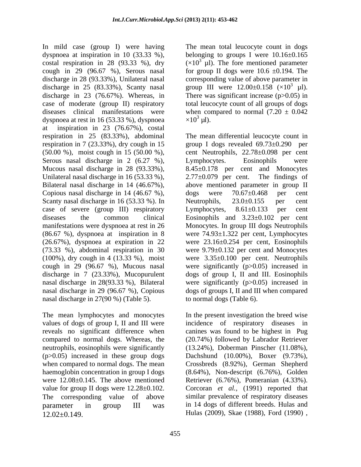In mild case (group I) were having dyspnoea at inspiration in 10 (33.33 %), belonging to groups I were 10.16±0.165 costal respiration in 28 (93.33 %), dry cough in 29 (96.67 %), Serous nasal for group II dogs were  $10.6 \pm 0.194$ . The discharge in 28 (93.33%), Unilateral nasal corresponding value of above parameter in discharge in 25 (83.33%), Scanty nasal group III were  $12.00\pm0.158$  ( $\times10^3$   $\mu$ I). discharge in 23 (76.67%). Whereas, in There was significant increase (p>0.05) in case of moderate (group II) respiratory total leucocyte count of all groups of dogs diseases clinical manifestations were when compared to normal  $(7.20 \pm 0.042)$ dyspnoea at rest in 16 (53.33 %), dyspnoea  $\times 10^3$  µl). at inspiration in 23 (76.67%), costal respiration in 25 (83.33%), abdominal The mean differential leucocyte count in respiration in 7 (23.33%), dry cough in 15 group I dogs revealed 69.73±0.290 per (50.00 %), moist cough in 15 (50.00 %), cent Neutrophils, 22.78±0.098 per cent Serous nasal discharge in 2 (6.27 %), Lymphocytes. Eosinophils were Mucous nasal discharge in 28 (93.33%), 8.45±0.178 per cent and Monocytes Unilateral nasal discharge in 16 (53.33 %),  $2.77 \pm 0.079$  per cent. The findings of Bilateral nasal discharge in 14 (46.67%), above mentioned parameter in group II Copious nasal discharge in 14 (46.67 %), dogs were  $70.67 \pm 0.468$  per cent Scanty nasal discharge in 16 (53.33 %). In Neutrophils, 23.0±0.155 per cent case of severe (group III) respiratory Lymphocytes,  $8.61 \pm 0.133$  per cent diseases the common clinical Eosinophils and 3.23±0.102 per cent manifestations were dyspnoea at rest in 26 Monocytes. In group III dogs Neutrophils (86.67 %), dyspnoea at inspiration in 8 were 74.93±1.322 per cent, Lymphocytes (26.67%), dyspnoea at expiration in 22 were 23.16±0.254 per cent, Eosinophils (73.33 %), abdominal respiration in 30 were 9.79±0.132 per cent and Monocytes (100%), dry cough in 4 (13.33 %), moist were 3.35±0.100 per cent. Neutrophils cough in 29 (96.67 %), Mucous nasal were significantly (p>0.05) increased in discharge in 7 (23.33%), Mucopurulent dogs of group I, II and III. Eosinophils nasal discharge in 28(93.33 %), Bilateral were significantly (p>0.05) increased in nasal discharge in 29 (96.67 %), Copious dogs of groups I, II and III when compared nasal discharge in 27(90 %) (Table 5).

The mean lymphocytes and monocytes In the present investigation the breed wise values of dogs of group I, II and III were incidence of respiratory diseases in reveals no significant difference when canines was found to be highest in Pug compared to normal dogs. Whereas, the (20.74%) followed by Labrador Retriever neutrophils, eosinophils were significantly (13.24%), Doberman Pinscher (11.08%), (p>0.05) increased in these group dogs Dachshund (10.00%), Boxer (9.73%), when compared to normal dogs. The mean Crossbreds (8.92%), German Shepherd haemoglobin concentration in group I dogs (8.64%), Non-descript (6.76%), Golden were 12.08±0.145. The above mentioned Retriever (6.76%), Pomeranian (4.33%). value for group II dogs were 12.28±0.102. Corcoran *et al.,* (1991) reported that The corresponding value of above similar prevalence of respiratory diseases parameter in group III was in 14 dogs of different breeds. Hulas and 12.02±0.149. Hulas (2009), Skae (1988), Ford (1990) ,

The mean total leucocyte count in dogs  $(\times 10^3 \text{ }\mu\text{L})$ . The fore mentioned parameter 3  $\mu$ l).  $\times 10^3$  µl).  $\mu$ l).

Lymphocytes. Eosinophils were 2.77±0.079 per cent. The findings of dogs were 70.67±0.468 per cent Neutrophils, 23.0±0.155 per cent Lymphocytes, 8.61±0.133 per cent to normal dogs (Table 6).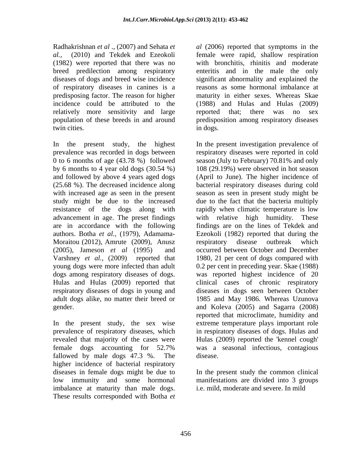(1982) were reported that there was no of respiratory diseases in canines is a relatively more sensitivity and large reported that; there was no sex twin cities. The same state of the state of the state of the state of the state of the state of the state of the state of the state of the state of the state of the state of the state of the state of the state of the state

(25.68 %). The decreased incidence along are in accordance with the following authors. Botha *et al.,* (1979), Adamama- Moraitou (2012), Amrute (2009), Anusz Varshney *et al.,* (2009) reported that

In the present study, the sex wise prevalence of respiratory diseases, which fallowed by male dogs 47.3 %. The disease. higher incidence of bacterial respiratory diseases in female dogs might be due to In the present study the common clinical low immunity and some hormonal imbalance at maturity than male dogs. These results corresponded with Botha *et*

Radhakrishnan *et al* ., (2007) and Sehata *et al* (2006) reported that symptoms in the *al.,* (2010) and Tekdek and Ezeokoli female were rapid, shallow respiration breed predilection among respiratory enteritis and in the male the only diseases of dogs and breed wise incidence significant abnormality and explained the predisposing factor. The reason for higher maturity in either sexes. Whereas Skae incidence could be attributed to the (1988) and Hulas and Hulas (2009) population of these breeds in and around predisposition among respiratory diseases with bronchitis, rhinitis and moderate reasons as some hormonal imbalance at reported that; there was no sex in dogs.

In the present study, the highest In the present investigation prevalence of prevalence was recorded in dogs between respiratory diseases were reported in cold 0 to 6 months of age (43.78 %) followed season (July to February) 70.81% and only by 6 months to 4 year old dogs (30.54 %) 108 (29.19%) were observed in hot season and followed by above 4 years aged dogs (April to June). The higher incidence of with increased age as seen in the present season as seen in present study might be study might be due to the increased due to the fact that the bacteria multiply resistance of the dogs along with rapidly when climatic temperature is low advancement in age. The preset findings with relative high humidity. These (2005), Jameson *et al* (1995) and occurred between October and December young dogs were more infected than adult 0.2 per cent in preceding year. Skae (1988) dogs among respiratory diseases of dogs. was reported highest incidence of 20 Hulas and Hulas (2009) reported that clinical cases of chronic respiratory respiratory diseases of dogs in young and diseases in dogs seen between October adult dogs alike, no matter their breed or 1985 and May 1986. Whereas Uzunova gender. and Koleva (2005) and Sagarra (2008) revealed that majority of the cases were Hulas (2009) reported the 'kennel cough' female dogs accounting for 52.7% bacterial respiratory diseases during cold findings are on the lines of Tekdek and Ezeokoli (1982) reported that during the respiratory disease outbreak which 1980, 21 per cent of dogs compared with reported that microclimate, humidity and extreme temperature plays important role in respiratory diseases of dogs. Hulas and was a seasonal infectious, contagious disease.

> manifestations are divided into 3 groups i.e. mild, moderate and severe. In mild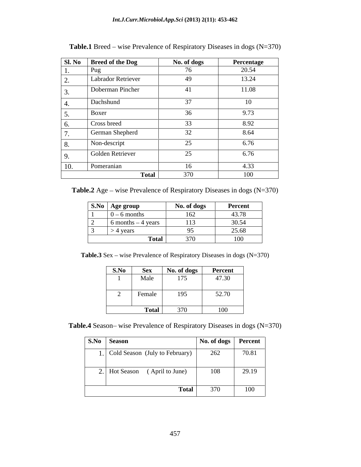| Sl. No         | <b>Breed of the Dog</b> | No. of dogs         | Percentage |
|----------------|-------------------------|---------------------|------------|
| $\mathbf{I}$ . | Pug                     | 76                  | 20.54      |
| 2.             | Labrador Retriever      | 49                  | 13.24      |
| 3.             | Doberman Pincher        | 41                  | 11.08      |
| 4.             | Dachshund               | 37                  | 10         |
| 5.             | Boxer                   | 36                  | 9.73       |
| 6.             | Cross breed             | 33                  | 8.92       |
| $\mathcal{L}$  | German Shepherd         | 32                  | 8.64       |
| 8.             | Non-descript            | 25                  | 6.76       |
| 9.             | Golden Retriever        | 25                  | 6.76       |
| 10.            | Pomeranian              | 16                  | 4.33       |
|                |                         | 370<br><b>Total</b> | 100        |

Table.1 Breed – wise Prevalence of Respiratory Diseases in dogs (N=370)

**Table.2** Age – wise Prevalence of Respiratory Diseases in dogs (N=370)

|                          | S.No   Age group      |              | No. of dogs              | Percent              |
|--------------------------|-----------------------|--------------|--------------------------|----------------------|
|                          | – 6 months<br>.       |              | 162                      | 10.70<br>43.78       |
| $\sim$<br>$\overline{a}$ | $6$ months $-4$ years |              | 113                      | 30.54                |
| $\sim$<br>ັ              | 4 years               |              |                          | 25.68                |
|                          |                       | <b>Total</b> | 27 <sup>o</sup><br>3 I V | 100<br>$\sim$ $\sim$ |

Table.3 Sex – wise Prevalence of Respiratory Diseases in dogs (N=370)

| S.No | Sex          | No. of dogs | Percent |
|------|--------------|-------------|---------|
|      | Male         | 175         | 47.30   |
|      |              |             |         |
|      | Female       | 195         | 52.70   |
|      |              |             |         |
|      | <b>Total</b> | 370         | 100     |

| Table.4 Season-wise Prevalence of<br>$\sim$ c of Respiratory Diseases in dogs (N- <sup><math>\sim</math>-</sup><br>=370) |  |
|--------------------------------------------------------------------------------------------------------------------------|--|
|                                                                                                                          |  |

| <b>S.No</b> Season                | No. of dogs Percent |       |
|-----------------------------------|---------------------|-------|
| 1. Cold Season (July to February) | 262                 | 70.81 |
| 2. Hot Season (April to June)     | 108                 | 29.19 |
| Total                             | 370                 | 100   |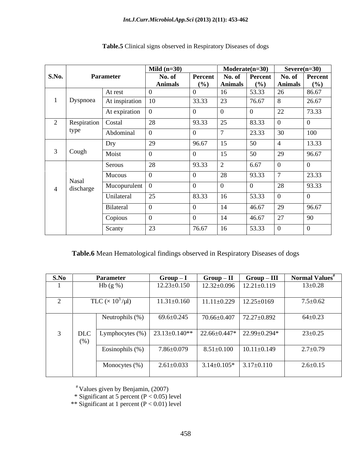|                |                    |                              | Mild $(n=30)$  |          | $Modern (n=30)$      |              | $Severe(n=30)$       |              |
|----------------|--------------------|------------------------------|----------------|----------|----------------------|--------------|----------------------|--------------|
| S.No.          |                    | <b>Parameter</b>             | No. of         | Percent  | No. of               | Percent      | No. of               | Percent      |
|                |                    | At rest                      | <b>Animals</b> | (%)      | <b>Animals</b><br>16 | (%)<br>53.33 | <b>Animals</b><br>26 | (%)<br>86.67 |
|                | Dyspnoea           | At inspiration               | 10             | 33.33    | 23                   | 76.67        | $\circ$              | 26.67        |
|                |                    |                              |                | $\Omega$ |                      |              |                      |              |
|                |                    | At expiration                |                |          |                      |              | 22                   | 73.33        |
| 2              | Respiration Costal |                              | 28             | 93.33    | 25                   | 83.33        |                      |              |
|                | type               | Abdominal                    |                |          |                      | 23.33        | 30                   | 100          |
|                |                    | Dry                          | 29             | 96.67    | 15                   | 50           |                      | 13.33        |
| $\overline{3}$ | Cough              | Moist                        |                |          | 15                   | 50           | 29                   | 96.67        |
|                |                    | Serous                       | 28             | 93.33    | $\overline{ }$       | 6.67         |                      |              |
|                |                    | Mucous                       |                |          | 28                   | 93.33        |                      | 23.33        |
|                | Nasal              | Mucopurulent $\vert 0 \vert$ |                | $\sim$   |                      |              | 28                   | 93.33        |
|                | discharge          |                              |                |          |                      |              |                      |              |
|                |                    | Unilateral                   | 25             | 83.33    | 16                   | 53.33        |                      |              |
|                |                    | Bilateral                    |                |          | 14                   | 46.67        | 29                   | 96.67        |
|                |                    | Copious                      |                |          | 14                   | 46.67        | 27                   | 90           |
|                |                    | Scanty                       | 23             | 76.67    | 16                   | 53.33        |                      |              |

# **Table.5** Clinical signs observed in Respiratory Diseases of dogs

**Table.6** Mean Hematological findings observed in Respiratory Diseases of dogs

| S.No |                    | <b>Parameter</b>                    | $Group-I$           | $Group-II$        | $Group-III$       | Normal Values <sup>#</sup> |
|------|--------------------|-------------------------------------|---------------------|-------------------|-------------------|----------------------------|
|      |                    | Hb $(g\% )$                         | $12.23 \pm 0.150$   | $12.32 \pm 0.096$ | $12.21 \pm 0.119$ | $13 \pm 0.28$              |
|      |                    | TLC ( $\times$ 10 <sup>3</sup> /µl) | $11.31 \pm 0.160$   | $11.11 \pm 0.229$ | $12.25 \pm 0169$  | $7.5 \pm 0.62$             |
|      |                    | Neutrophils (%)                     | $69.6 \pm 0.245$    | 70.66±0.407       | 72.27±0.892       | $64 \pm 0.23$              |
|      | <b>DLC</b><br>(% ) | Lymphocytes $(\%)$                  | $23.13 \pm 0.140**$ | 22.66±0.447*      | 22.99±0.294*      | $23 \pm 0.25$              |
|      |                    | Eosinophils (%)                     | $7.86 \pm 0.079$    | $8.51 \pm 0.100$  | $10.11 \pm 0.149$ | $2.7 \pm 0.79$             |
|      |                    | Monocytes (%)                       | $2.61 \pm 0.033$    | $3.14 \pm 0.105*$ | $3.17 \pm 0.110$  | $2.6 \pm 0.15$             |

# Values given by Benjamin, (2007)

\* Significant at 5 percent (P < 0.05) level

\*\* Significant at 1 percent (P < 0.01) level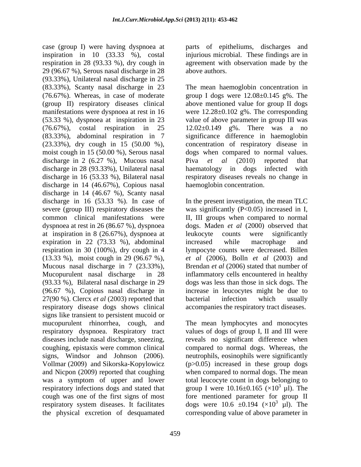case (group I) were having dyspnoea at inspiration in 10 (33.33 %), costal respiration in 28 (93.33 %), dry cough in 29 (96.67 %), Serous nasal discharge in 28 (93.33%), Unilateral nasal discharge in 25 (83.33%), Scanty nasal discharge in 23 (76.67%). Whereas, in case of moderate group I dogs were  $12.08 \pm 0.145$  g%. The (group II) respiratory diseases clinical above mentioned value for group II dogs manifestations were dyspnoea at rest in 16 were 12.28±0.102 g%. The corresponding (53.33 %), dyspnoea at inspiration in 23 value of above parameter in group III was (76.67%), costal respiration in 25 12.02±0.149 g%. There was a no (83.33%), abdominal respiration in 7 significance difference in haemoglobin (23.33%), dry cough in 15 (50.00 %), concentration of respiratory disease in moist cough in 15 (50.00 %), Serous nasal dogs when compared to normal values. discharge in 2 (6.27 %), Mucous nasal Piva et al (2010) reported that discharge in 28 (93.33%), Unilateral nasal haematology in dogs infected with discharge in 16 (53.33 %), Bilateral nasal respiratory diseases reveals no change in discharge in 14 (46.67%), Copious nasal discharge in 14 (46.67 %), Scanty nasal discharge in 16 (53.33 %). In case of In the present investigation, the mean TLC severe (group III) respiratory diseases the was significantly (P<0.05) increased in I, common clinical manifestations were II, III groups when compared to normal dyspnoea at rest in 26 (86.67 %), dyspnoea dogs. Maden *et al* (2000) observed that at inspiration in 8 (26.67%), dyspnoea at expiration in 22 (73.33 %), abdominal increased while macrophage and respiration in 30 (100%), dry cough in 4 lympocyte counts were decreased. Billen (13.33 %), moist cough in 29 (96.67 %), *et al* (2006), Bolln *et al* (2003) and Mucous nasal discharge in 7 (23.33%), Brendan *et al* (2006) stated that number of Mucopurulent nasal discharge in 28 inflammatory cells encountered in healthy (93.33 %), Bilateral nasal discharge in 29 dogs was less than those in sick dogs. The (96.67 %), Copious nasal discharge in 27(90 %). Clercx *et al* (2003) reported that bacterial infection which usually respiratory disease dogs shows clinical accompanies the respiratory tract diseases. signs like transient to persistent mucoid or mucopurulent rhinorrhea, cough, and The mean lymphocytes and monocytes respiratory dyspnoea. Respiratory tract values of dogs of group I, II and III were diseases include nasal discharge, sneezing, coughing, epistaxis were common clinical compared to normal dogs. Whereas, the signs, Windsor and Johnson (2006). neutrophils, eosinophils were significantly Vollmar (2009) and Sikorska-Kopylowicz (p>0.05) increased in these group dogs and Nicpon (2009) reported that coughing when compared to normal dogs. The mean was a symptom of upper and lower total leucocyte count in dogs belonging to respiratory infections dogs and stated that group I were  $10.16\pm0.165$  ( $\times10^3$   $\mu$ I). The cough was one of the first signs of most fore mentioned parameter for group II respiratory system diseases. It facilitates dogs were  $10.6 \pm 0.194$  ( $\times 10^3$  µl). The

parts of epitheliums, discharges and injurious microbial. These findings are in agreement with observation made by the above authors.

The mean haemoglobin concentration in Piva *et al* (2010) reported that haemoglobin concentration.

leukocyte counts were significantly increased while macrophage and increase in leucocytes might be due to bacterial infection which usually

the physical excretion of desquamated corresponding value of above parameter inreveals no significant difference when  $3 \tanh \text{Th}_2$ µl). The  $3 \t{1}$  The µl). The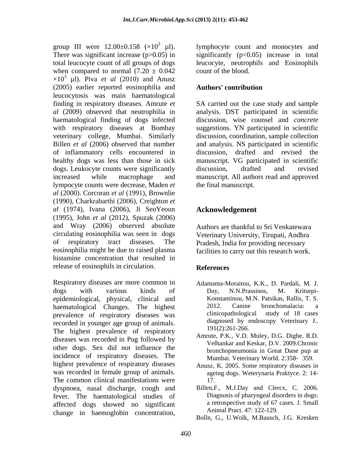There was significant increase  $(p>0.05)$  in significantly  $(p<0.05)$  increase in total total leucocyte count of all groups of dogs leucocyte, neutrophils and Eosinophils when compared to normal  $(7.20 \pm 0.042)$  $\times 10^3$  µl). Piva *et al* (2010) and Anusz (2005) earlier reported eosinophilia and leucocytosis was main haematological finding in respiratory diseases. Amrute *et*  SA carried out the case study and sample *al* (2009) observed that neutrophilia in analysis. DST participated in scientific haematological finding of dogs infected discussion, wise counsel and *concrete* with respiratory diseases at Bombay suggestions. YN participated in scientific veterinary college, Mumbai. Similarly discussion, coordination, sample collection Billen *et al* (2006) observed that number and analysis. NS participated in scientific of inflammatory cells encountered in healthy dogs was less than those in sick dogs. Leukocyte counts were significantly discussion, drafted and revised increased while macrophage and manuscript. All authors read and approved lympocyte counts were decrease, Maden *et al* (2000). Corcoran *et al* (1991), Brownlie (1990), Charkrabarthi (2006), Creighton *et al* (1974), Ivana (2006), Ji SeoYeoun (1995), John *et al* (2012), Spuzak (2006) and Wray (2006) observed absolute circulating eosinophilia was seen in dogs of respiratory tract diseases. The Pradesh, India for providing necessary eosinophilia might be due to raised plasma facilities to carry out this research work. histamine concentration that resulted in release of eosinophils in circulation. **References** 

Respiratory diseases are more common in dogs with various kinds of epidemiological, physical, clinical and haematological Changes. The highest 2012. Canine bronchomalacia: a<br>prevalence of respiratory diseases was clinicopathological study of 18 cases prevalence of respiratory diseases was recorded in younger age group of animals. The highest prevalence of respiratory diseases was recorded in Pug followed by other dogs. Sex did not influence the incidence of respiratory diseases. The highest prevalence of respiratory diseases was recorded in female group of animals. The common clinical manifestations were 17. dyspnoea, nasal discharge, cough and fever. The haematological studies of affected dogs showed no significant change in haemoglobin concentration,

group III were  $12.00\pm0.158$  ( $\times10^3$   $\mu$ ). lymphocyte count and monocytes and count of the blood.

# **Authors' contribution**

discussion, drafted and revised manuscript. VG participated in scientific discussion, drafted and revised the final manuscript.

# **Acknowledgement**

Authors are thankful to Sri Venkatewara Veterinary University, Tirupati, Andhra

# **References**

- Adamama-Moraitou, K.K., D. Pardali, M. J. Day, N.N.Prassinos, M. Kritsepi- Konstantinou, M.N. Patsikas, Rallis, T. S. 2012. Canine bronchomalacia: a clinicopathological study of 18 cases diagnosed by endoscopy Veterinary J.. 191(2):261-266.
- Amrute, P.K., V.D. Muley, D.G. Dighe, R.D. Velhankar and Keskar, D.V. 2009.Chronic bronchopneumonia in Great Dane pup at Mumbai. Veterinary World. 2:358- 359.
- Anusz, K. 2005. Some respiratory diseases in ageing dogs. Weterynaria Praktyce. 2: 14- 17.
- Billen, F., M.J.Day and Clercx, C. 2006. Diagnosis of pharyngeal disorders in dogs: a retrospective study of 67 cases. J. Small Animal Pract. 47: 122-129.
- Bolln, G., U.Wolk, M.Bausch, J.G. Kresken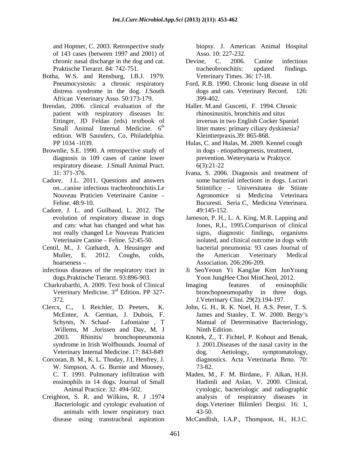and Hoptner, C. 2003. Retrospective study biopsy. J. American Animal Hospital of 143 cases (between 1997 and 2001) of

- Botha, W.S. and Rensburg, I.B.J. 1979. African .Veterinary Asso. 50:173-179.
- Brendan, 2006. clinical evaluation of the patient with respiratory diseases In: Ettinger, JD Feldan (eds) textbook of Small Animal Internal Medicine. 6<sup>th</sup> edition. WB Saunders, Co, Philadelphia.
- Brownlie, S.E. 1990. A retrospective study of diagnosis in 109 cases of canine lower respiratory disease. J.Small Animal Pract.
- Cadore, J.L. 2011. Questions and answers on...canine infectious tracheobronchitis.Le
- Cadore, J. L. and Guilbaud, L. 2012. The 49:145-152.<br>evolution of respiratory disease in dogs Jameson, P. H., 1
- Centil, M., J. Guthardt, A. Heusinger and
- dogs.Praktische Tierarzt. 93:896-903.
- 
- 
- Corcoran, B. M., K. L. Thoday, J.I, Henfrey, J. W. Simpson, A. G. Burnie and Mooney,  $73-82$ .
- Creighton, S. R. and Wilkins, R. J .1974 animals with lower respiratory tract 43-50.

Asso. 10: 227-232.

- chronic nasal discharge in the dog and cat. Devine, C. 2006. Canine infectious Praktische Tierarzt. 84: 742-751. Tracheobronchitis: updated findings. Devine, C. 2006. Canine infectious tracheobronchitis: updated findings. Veterinary Times. 36: 17-18.
- Pneumocystosis: a chronic respiratory Ford, R.B. 1990. Chronic lung disease in old distress syndrome in the dog. J.South dogs and cats. Veterinary Record. 126: 399-402.
	- th litter mates: primary ciliary dyskinesia? Haller. M.and Guscetti, F. 1994. Chronic rhinosinusitis, bronchitis and situs inversus in two English Cocker Spaniel Kleintierpraxis.39: 865-868.
- PP 1034 -1039. Hulas, C. and Hulas, M. 2009. Kennel cough in dogs - etiopathogenesis, treatment, prevention. Weterynaria w Praktyce. 6(3):21-22
- 31: 371-376. Ivana, S. 2006. Diagnosis and treatment of Nouveau Praticien Veterinaire Canine Agronomice si Medicina Veterinara Feline. 48:9-10. Bucuresti. Seria C, Medicina Veterinara. some bacterial infections in dogs. Lucrari Stiintifice - Universitatea de Stiinte 49:145-152.
- evolution of respiratory disease in dogs Jameson, P. H., L. A. King, M.R. Lapping and and cats: what has changed and what has Jones, R,L, 1995.Comparison of clinical not really changed Le Nouveau Praticien signs, diagnostic findings, organisms Veterinaire Canine – Feline. 52:45-50. isolated, and clinical outcome in dogs with Muller, E. 2012. Coughs, colds, the American Veterinary Medical bacterial pneumonia: 93 cases Journal of the American Veterinary Medical Association. 206:206-209.
- hoarseness <br>
hoarseness <br>
hoarseness <br>
infectious diseases of the respiratory tract in Ji SeoYeoun Yi KangJae Kim JunYoung Ji SeoYeoun Yi KangJae Kim JunYoung Yoon JungHee Choi MinCheol, 2012.
- Charkrabarthi, A. 2009. Text book of Clinical Imaging features of eosinophilic Veterinary Medicine. 3<sup>rd</sup> Edition. PP 327-<br>bronchopneumopathy in three dogs. Veterinary Medicine. 3<sup>rd</sup> Edition. PP 327-<br>bronchopneumopathy in three dogs. 372. J.Veterinary Clini. 29(2):194-197. Imaging features of eosinophilic
- Clercx, C., I. Reichler, D. Peeters, K. John, G. H., R. K. Noel, H. A.S. Peter, T. S. McEntee, A. German, J. Dubois, F. James and Stanley, T. W. 2000. Bergy's Schynts, N. Schaaf- Lafontaine , T Manual of Determinative Bacteriology, .Willems, M .Jorissen and Day, M. J Ninth Edition.
	- .2003. Rhinitis/ bronchopneumonia Knotek, Z., T. Fichtel, P. Kohout and Benak, syndrome in Irish Wolfhounds. Journal of J. 2001.Diseases of the nasal cavity in the Veterinary Internal Medicine. 17: 843-849 dog. Aetiology, symptomatology, diagnostics. Acta Veterinaria Brno. 70: 73-82.
	- C. T. 1991. Pulmonary infiltration with Maden, M., F. M. Birdane,. F. Alkan, H.H. eosinophils in 14 dogs. Journal of Small Hadimli and Aslan, V. 2000. Clinical, Animal Practice. 32: 494-502. cytologic, bacteriologic and radiographic .Bacteriologic and cytologic evaluation of dogs.Veteriner Bilimleri Dergisi. 16: 1, analysis of respiratory diseases in 43-50.
	- disease using transtracheal aspiration McCandlish, I.A.P., Thompson, H., H.J.C.